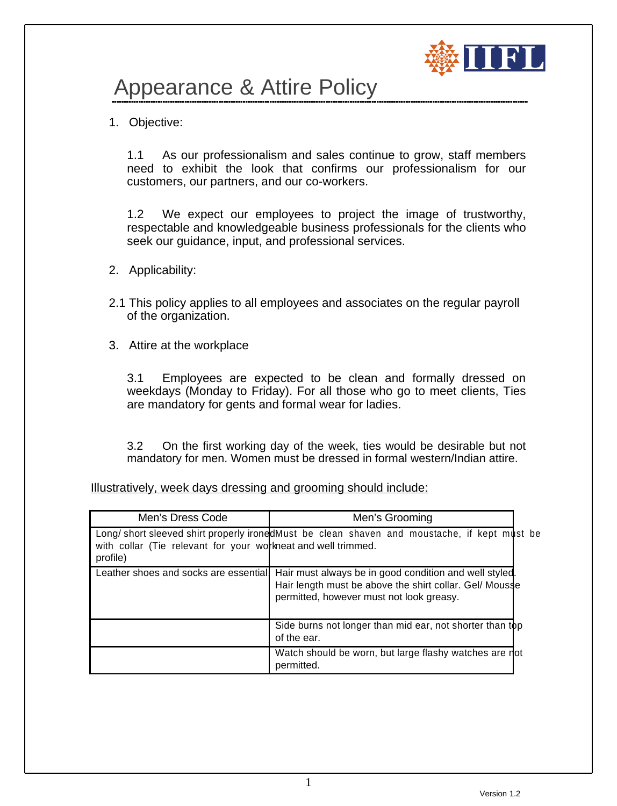

# Appearance & Attire Policy

1. Objective:

1.1 As our professionalism and sales continue to grow, staff members need to exhibit the look that confirms our professionalism for our customers, our partners, and our co-workers.

1.2 We expect our employees to project the image of trustworthy, respectable and knowledgeable business professionals for the clients who seek our guidance, input, and professional services.

- 2. Applicability:
- 2.1 This policy applies to all employees and associates on the regular payroll of the organization.
- 3. Attire at the workplace

3.1 Employees are expected to be clean and formally dressed on weekdays (Monday to Friday). For all those who go to meet clients, Ties are mandatory for gents and formal wear for ladies.

3.2 On the first working day of the week, ties would be desirable but not mandatory for men. Women must be dressed in formal western/Indian attire.

Illustratively, week days dressing and grooming should include:

| Men's Dress Code                                                          | Men's Grooming                                                                                                                                                |  |  |  |
|---------------------------------------------------------------------------|---------------------------------------------------------------------------------------------------------------------------------------------------------------|--|--|--|
| with collar (Tie relevant for your workheat and well trimmed.<br>profile) | Long/short sleeved shirt properly ironed Must be clean shaven and moustache, if kept must be                                                                  |  |  |  |
| Leather shoes and socks are essential                                     | Hair must always be in good condition and well styled.<br>Hair length must be above the shirt collar. Gel/ Mousse<br>permitted, however must not look greasy. |  |  |  |
|                                                                           | Side burns not longer than mid ear, not shorter than top<br>of the ear.                                                                                       |  |  |  |
|                                                                           | Watch should be worn, but large flashy watches are not<br>permitted.                                                                                          |  |  |  |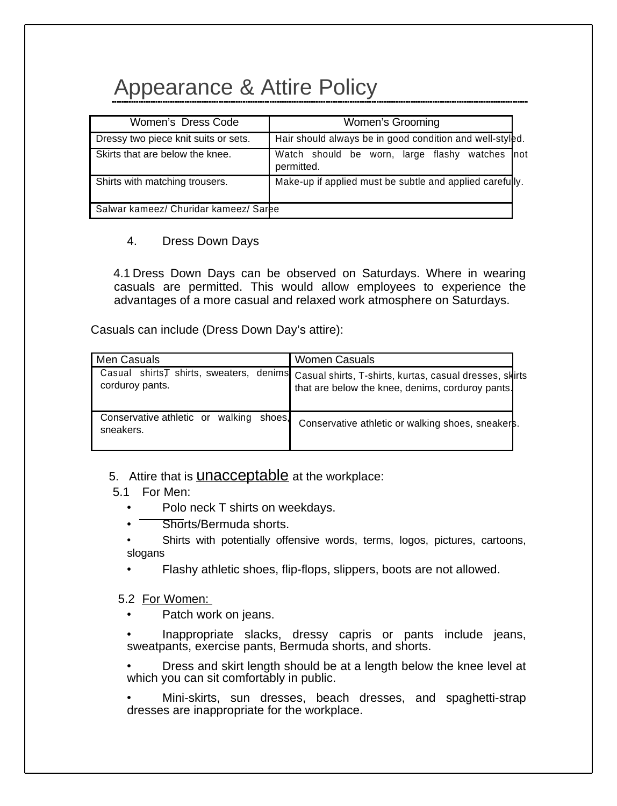# Appearance & Attire Policy

| Women's Dress Code                    | Women's Grooming                                         |      |  |
|---------------------------------------|----------------------------------------------------------|------|--|
| Dressy two piece knit suits or sets.  | Hair should always be in good condition and well-styled. |      |  |
| Skirts that are below the knee.       | Watch should be worn, large flashy watches<br>permitted. | Inot |  |
| Shirts with matching trousers.        | Make-up if applied must be subtle and applied carefully. |      |  |
| Salwar kameez/ Churidar kameez/ Saree |                                                          |      |  |

### 4. Dress Down Days

4.1 Dress Down Days can be observed on Saturdays. Where in wearing casuals are permitted. This would allow employees to experience the advantages of a more casual and relaxed work atmosphere on Saturdays.

Casuals can include (Dress Down Day's attire):

| Men Casuals                                          | <b>Women Casuals</b>                                                                                                                                 |  |
|------------------------------------------------------|------------------------------------------------------------------------------------------------------------------------------------------------------|--|
| corduroy pants.                                      | Casual shirts,T shirts, sweaters, denims Casual shirts, T-shirts, kurtas, casual dresses, slirts<br>that are below the knee, denims, corduroy pants. |  |
| Conservative athletic or walking shoes.<br>sneakers. | Conservative athletic or walking shoes, sneakers.                                                                                                    |  |

## 5. Attire that is **UNACCED table** at the workplace:

### 5.1 For Men:

- Polo neck T shirts on weekdays.
- Shorts/Bermuda shorts.
- Shirts with potentially offensive words, terms, logos, pictures, cartoons, slogans
- Flashy athletic shoes, flip-flops, slippers, boots are not allowed.

### 5.2 For Women:

- Patch work on jeans.
- Inappropriate slacks, dressy capris or pants include jeans, sweatpants, exercise pants, Bermuda shorts, and shorts.

• Dress and skirt length should be at a length below the knee level at which you can sit comfortably in public.

• Mini-skirts, sun dresses, beach dresses, and spaghetti-strap dresses are inappropriate for the workplace.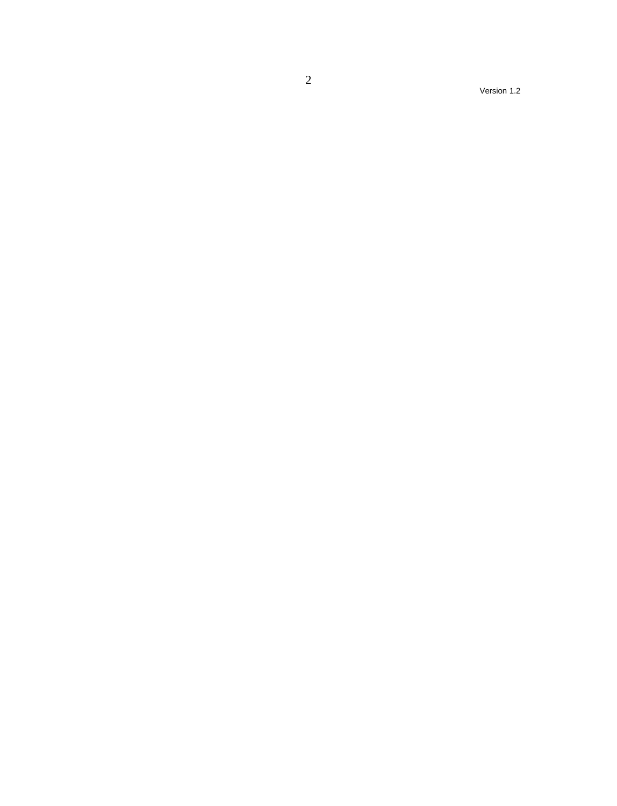Version 1.2